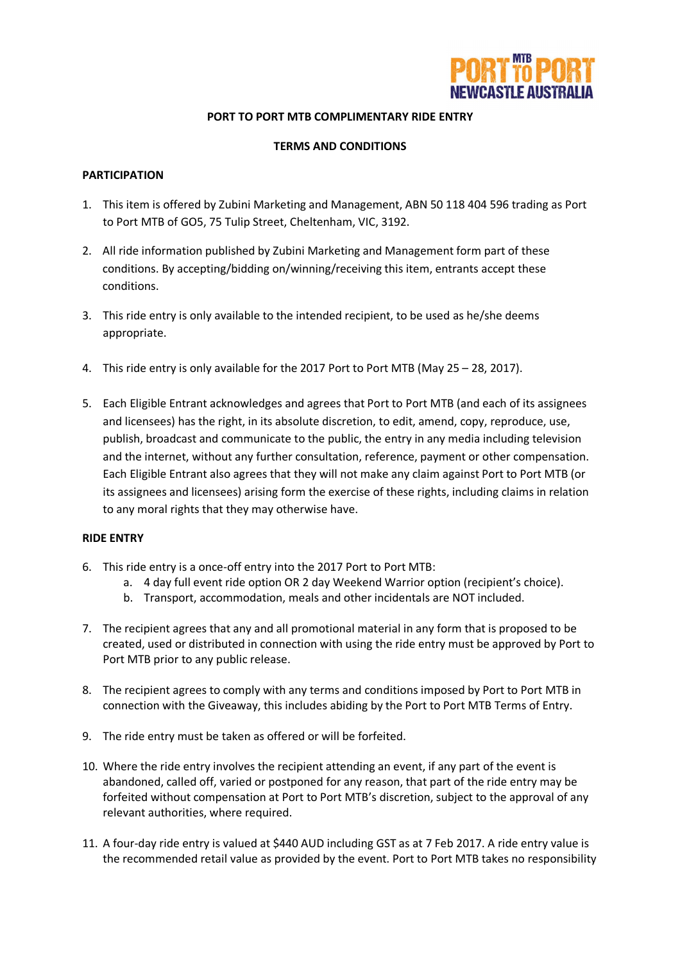

## **PORT TO PORT MTB COMPLIMENTARY RIDE ENTRY**

#### **TERMS AND CONDITIONS**

### **PARTICIPATION**

- 1. This item is offered by Zubini Marketing and Management, ABN 50 118 404 596 trading as Port to Port MTB of GO5, 75 Tulip Street, Cheltenham, VIC, 3192.
- 2. All ride information published by Zubini Marketing and Management form part of these conditions. By accepting/bidding on/winning/receiving this item, entrants accept these conditions.
- 3. This ride entry is only available to the intended recipient, to be used as he/she deems appropriate.
- 4. This ride entry is only available for the 2017 Port to Port MTB (May 25 28, 2017).
- 5. Each Eligible Entrant acknowledges and agrees that Port to Port MTB (and each of its assignees and licensees) has the right, in its absolute discretion, to edit, amend, copy, reproduce, use, publish, broadcast and communicate to the public, the entry in any media including television and the internet, without any further consultation, reference, payment or other compensation. Each Eligible Entrant also agrees that they will not make any claim against Port to Port MTB (or its assignees and licensees) arising form the exercise of these rights, including claims in relation to any moral rights that they may otherwise have.

### **RIDE ENTRY**

- 6. This ride entry is a once-off entry into the 2017 Port to Port MTB:
	- a. 4 day full event ride option OR 2 day Weekend Warrior option (recipient's choice).
	- b. Transport, accommodation, meals and other incidentals are NOT included.
- 7. The recipient agrees that any and all promotional material in any form that is proposed to be created, used or distributed in connection with using the ride entry must be approved by Port to Port MTB prior to any public release.
- 8. The recipient agrees to comply with any terms and conditions imposed by Port to Port MTB in connection with the Giveaway, this includes abiding by the Port to Port MTB Terms of Entry.
- 9. The ride entry must be taken as offered or will be forfeited.
- 10. Where the ride entry involves the recipient attending an event, if any part of the event is abandoned, called off, varied or postponed for any reason, that part of the ride entry may be forfeited without compensation at Port to Port MTB's discretion, subject to the approval of any relevant authorities, where required.
- 11. A four-day ride entry is valued at \$440 AUD including GST as at 7 Feb 2017. A ride entry value is the recommended retail value as provided by the event. Port to Port MTB takes no responsibility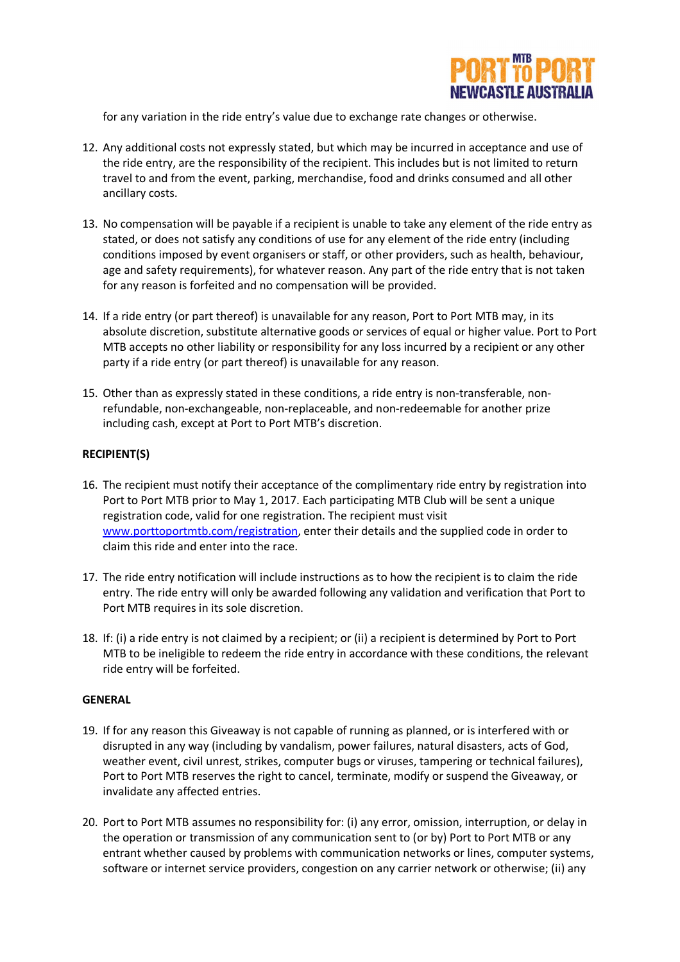

for any variation in the ride entry's value due to exchange rate changes or otherwise.

- 12. Any additional costs not expressly stated, but which may be incurred in acceptance and use of the ride entry, are the responsibility of the recipient. This includes but is not limited to return travel to and from the event, parking, merchandise, food and drinks consumed and all other ancillary costs.
- 13. No compensation will be payable if a recipient is unable to take any element of the ride entry as stated, or does not satisfy any conditions of use for any element of the ride entry (including conditions imposed by event organisers or staff, or other providers, such as health, behaviour, age and safety requirements), for whatever reason. Any part of the ride entry that is not taken for any reason is forfeited and no compensation will be provided.
- 14. If a ride entry (or part thereof) is unavailable for any reason, Port to Port MTB may, in its absolute discretion, substitute alternative goods or services of equal or higher value. Port to Port MTB accepts no other liability or responsibility for any loss incurred by a recipient or any other party if a ride entry (or part thereof) is unavailable for any reason.
- 15. Other than as expressly stated in these conditions, a ride entry is non-transferable, nonrefundable, non-exchangeable, non-replaceable, and non-redeemable for another prize including cash, except at Port to Port MTB's discretion.

### **RECIPIENT(S)**

- 16. The recipient must notify their acceptance of the complimentary ride entry by registration into Port to Port MTB prior to May 1, 2017. Each participating MTB Club will be sent a unique registration code, valid for one registration. The recipient must visit www.porttoportmtb.com/registration, enter their details and the supplied code in order to claim this ride and enter into the race.
- 17. The ride entry notification will include instructions as to how the recipient is to claim the ride entry. The ride entry will only be awarded following any validation and verification that Port to Port MTB requires in its sole discretion.
- 18. If: (i) a ride entry is not claimed by a recipient; or (ii) a recipient is determined by Port to Port MTB to be ineligible to redeem the ride entry in accordance with these conditions, the relevant ride entry will be forfeited.

### **GENERAL**

- 19. If for any reason this Giveaway is not capable of running as planned, or is interfered with or disrupted in any way (including by vandalism, power failures, natural disasters, acts of God, weather event, civil unrest, strikes, computer bugs or viruses, tampering or technical failures), Port to Port MTB reserves the right to cancel, terminate, modify or suspend the Giveaway, or invalidate any affected entries.
- 20. Port to Port MTB assumes no responsibility for: (i) any error, omission, interruption, or delay in the operation or transmission of any communication sent to (or by) Port to Port MTB or any entrant whether caused by problems with communication networks or lines, computer systems, software or internet service providers, congestion on any carrier network or otherwise; (ii) any